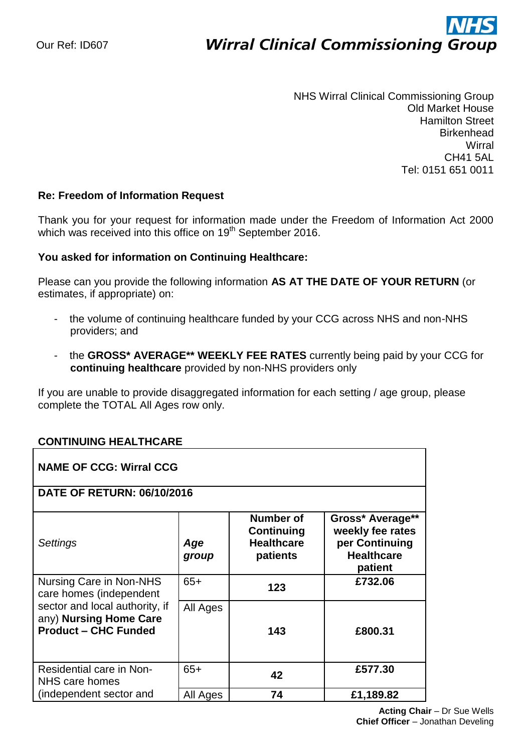# ì **Wirral Clinical Commissioning Group**

NHS Wirral Clinical Commissioning Group Old Market House Hamilton Street **Birkenhead Wirral** CH41 5AL Tel: 0151 651 0011

### **Re: Freedom of Information Request**

Thank you for your request for information made under the Freedom of Information Act 2000 which was received into this office on 19<sup>th</sup> September 2016.

### **You asked for information on Continuing Healthcare:**

Please can you provide the following information **AS AT THE DATE OF YOUR RETURN** (or estimates, if appropriate) on:

- the volume of continuing healthcare funded by your CCG across NHS and non-NHS providers; and
- the **GROSS\* AVERAGE\*\* WEEKLY FEE RATES** currently being paid by your CCG for **continuing healthcare** provided by non-NHS providers only

If you are unable to provide disaggregated information for each setting / age group, please complete the TOTAL All Ages row only.

## **CONTINUING HEALTHCARE**

| <b>NAME OF CCG: Wirral CCG</b>                                                          |              |                                                          |                                                                                        |  |  |
|-----------------------------------------------------------------------------------------|--------------|----------------------------------------------------------|----------------------------------------------------------------------------------------|--|--|
| <b>DATE OF RETURN: 06/10/2016</b>                                                       |              |                                                          |                                                                                        |  |  |
| Settings                                                                                | Age<br>group | Number of<br>Continuing<br><b>Healthcare</b><br>patients | Gross* Average**<br>weekly fee rates<br>per Continuing<br><b>Healthcare</b><br>patient |  |  |
| Nursing Care in Non-NHS<br>care homes (independent                                      | $65+$        | 123                                                      | £732.06                                                                                |  |  |
| sector and local authority, if<br>any) Nursing Home Care<br><b>Product - CHC Funded</b> | All Ages     | 143                                                      | £800.31                                                                                |  |  |
| Residential care in Non-<br>NHS care homes                                              | $65+$        | 42                                                       | £577.30                                                                                |  |  |
| (independent sector and                                                                 | All Ages     | 74                                                       | £1,189.82                                                                              |  |  |